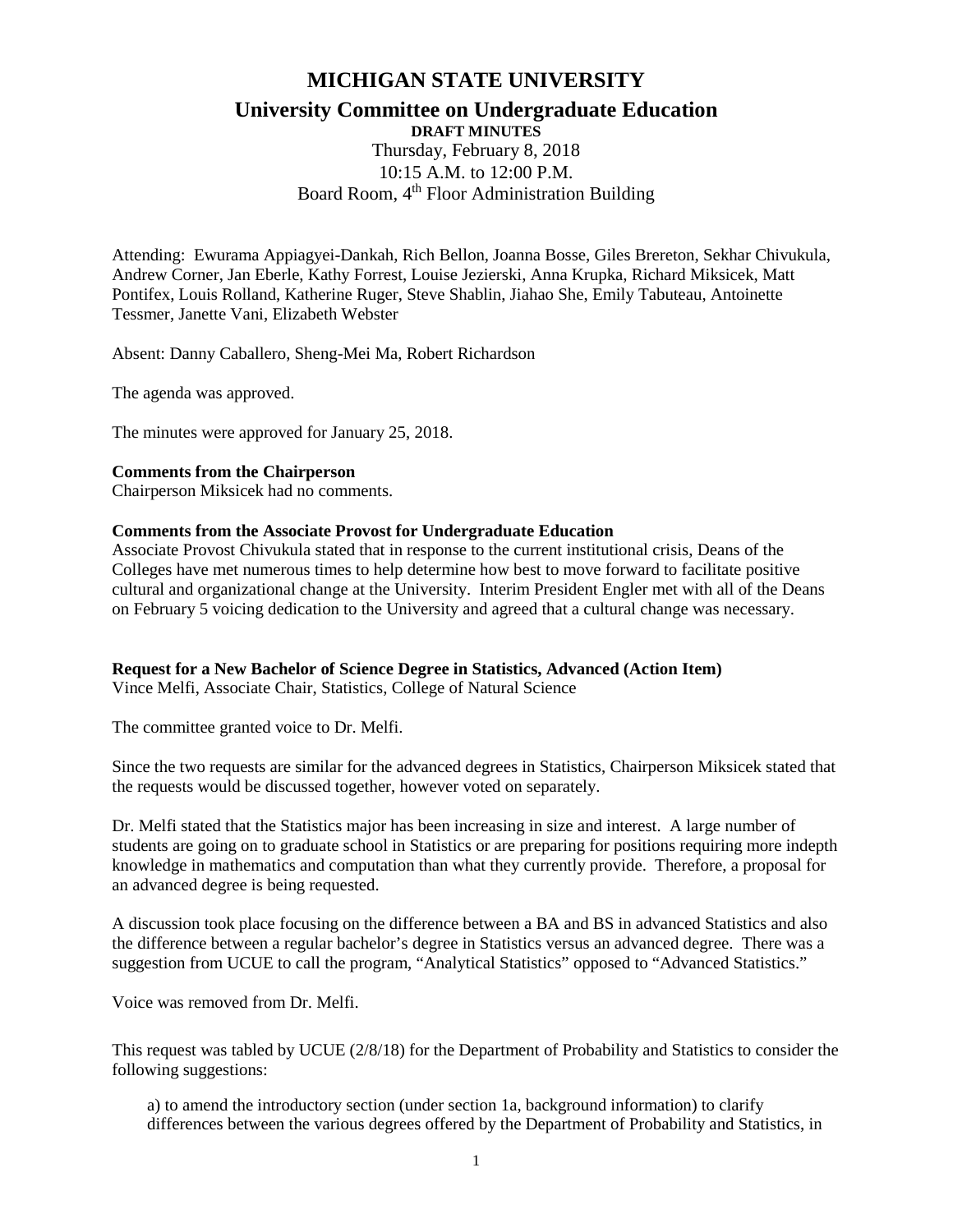# **MICHIGAN STATE UNIVERSITY**

**University Committee on Undergraduate Education**

**DRAFT MINUTES** Thursday, February 8, 2018 10:15 A.M. to 12:00 P.M. Board Room, 4<sup>th</sup> Floor Administration Building

Attending: Ewurama Appiagyei-Dankah, Rich Bellon, Joanna Bosse, Giles Brereton, Sekhar Chivukula, Andrew Corner, Jan Eberle, Kathy Forrest, Louise Jezierski, Anna Krupka, Richard Miksicek, Matt Pontifex, Louis Rolland, Katherine Ruger, Steve Shablin, Jiahao She, Emily Tabuteau, Antoinette Tessmer, Janette Vani, Elizabeth Webster

Absent: Danny Caballero, Sheng-Mei Ma, Robert Richardson

The agenda was approved.

The minutes were approved for January 25, 2018.

# **Comments from the Chairperson**

Chairperson Miksicek had no comments.

# **Comments from the Associate Provost for Undergraduate Education**

Associate Provost Chivukula stated that in response to the current institutional crisis, Deans of the Colleges have met numerous times to help determine how best to move forward to facilitate positive cultural and organizational change at the University. Interim President Engler met with all of the Deans on February 5 voicing dedication to the University and agreed that a cultural change was necessary.

**Request for a New Bachelor of Science Degree in Statistics, Advanced (Action Item)**

Vince Melfi, Associate Chair, Statistics, College of Natural Science

The committee granted voice to Dr. Melfi.

Since the two requests are similar for the advanced degrees in Statistics, Chairperson Miksicek stated that the requests would be discussed together, however voted on separately.

Dr. Melfi stated that the Statistics major has been increasing in size and interest. A large number of students are going on to graduate school in Statistics or are preparing for positions requiring more indepth knowledge in mathematics and computation than what they currently provide. Therefore, a proposal for an advanced degree is being requested.

A discussion took place focusing on the difference between a BA and BS in advanced Statistics and also the difference between a regular bachelor's degree in Statistics versus an advanced degree. There was a suggestion from UCUE to call the program, "Analytical Statistics" opposed to "Advanced Statistics."

Voice was removed from Dr. Melfi.

This request was tabled by UCUE (2/8/18) for the Department of Probability and Statistics to consider the following suggestions:

a) to amend the introductory section (under section 1a, background information) to clarify differences between the various degrees offered by the Department of Probability and Statistics, in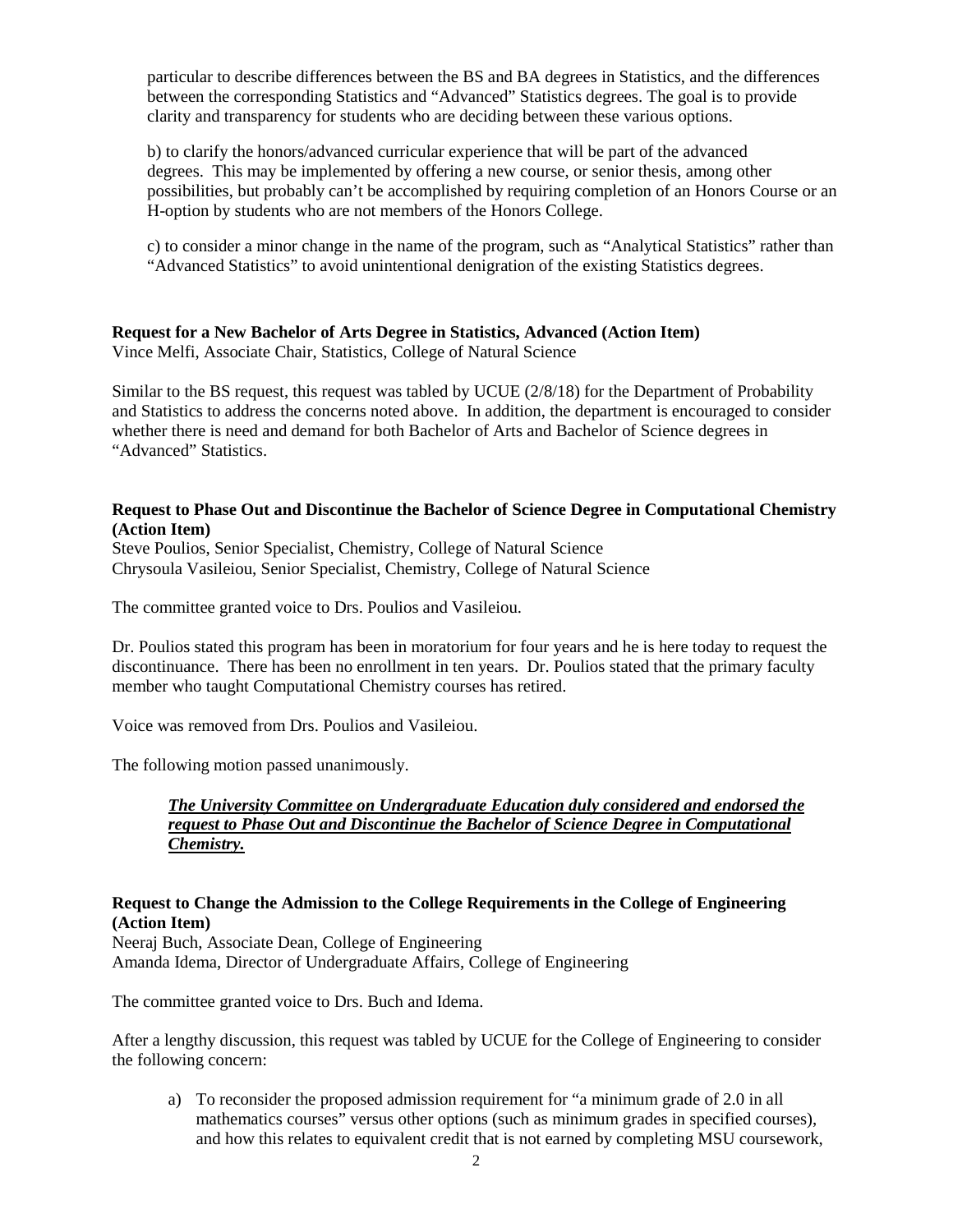particular to describe differences between the BS and BA degrees in Statistics, and the differences between the corresponding Statistics and "Advanced" Statistics degrees. The goal is to provide clarity and transparency for students who are deciding between these various options.

b) to clarify the honors/advanced curricular experience that will be part of the advanced degrees. This may be implemented by offering a new course, or senior thesis, among other possibilities, but probably can't be accomplished by requiring completion of an Honors Course or an H-option by students who are not members of the Honors College.

c) to consider a minor change in the name of the program, such as "Analytical Statistics" rather than "Advanced Statistics" to avoid unintentional denigration of the existing Statistics degrees.

# **Request for a New Bachelor of Arts Degree in Statistics, Advanced (Action Item)**

Vince Melfi, Associate Chair, Statistics, College of Natural Science

Similar to the BS request, this request was tabled by UCUE (2/8/18) for the Department of Probability and Statistics to address the concerns noted above. In addition, the department is encouraged to consider whether there is need and demand for both Bachelor of Arts and Bachelor of Science degrees in "Advanced" Statistics.

#### **Request to Phase Out and Discontinue the Bachelor of Science Degree in Computational Chemistry (Action Item)**

Steve Poulios, Senior Specialist, Chemistry, College of Natural Science Chrysoula Vasileiou, Senior Specialist, Chemistry, College of Natural Science

The committee granted voice to Drs. Poulios and Vasileiou.

Dr. Poulios stated this program has been in moratorium for four years and he is here today to request the discontinuance. There has been no enrollment in ten years. Dr. Poulios stated that the primary faculty member who taught Computational Chemistry courses has retired.

Voice was removed from Drs. Poulios and Vasileiou.

The following motion passed unanimously.

*The University Committee on Undergraduate Education duly considered and endorsed the request to Phase Out and Discontinue the Bachelor of Science Degree in Computational Chemistry.*

#### **Request to Change the Admission to the College Requirements in the College of Engineering (Action Item)**

Neeraj Buch, Associate Dean, College of Engineering Amanda Idema, Director of Undergraduate Affairs, College of Engineering

The committee granted voice to Drs. Buch and Idema.

After a lengthy discussion, this request was tabled by UCUE for the College of Engineering to consider the following concern:

a) To reconsider the proposed admission requirement for "a minimum grade of 2.0 in all mathematics courses" versus other options (such as minimum grades in specified courses), and how this relates to equivalent credit that is not earned by completing MSU coursework,